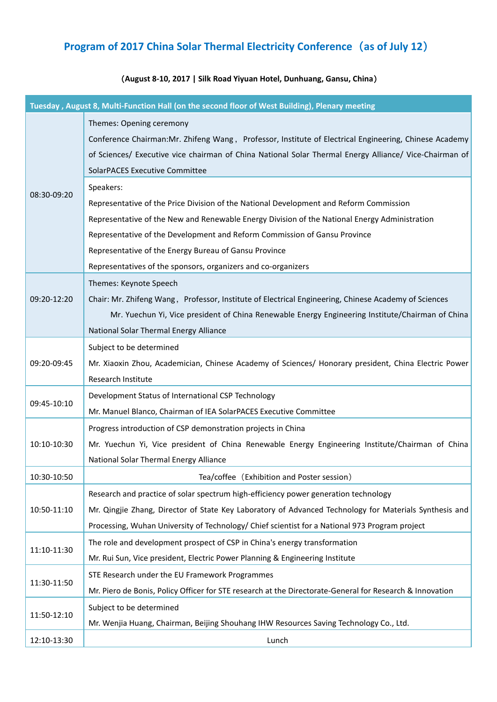## **Program of 2017 China Solar Thermal Electricity Conference**(**as of July 12**)

## (**August 8-10, 2017 | Silk Road Yiyuan Hotel, Dunhuang, Gansu, China**)

|             | Tuesday, August 8, Multi-Function Hall (on the second floor of West Building), Plenary meeting           |
|-------------|----------------------------------------------------------------------------------------------------------|
|             | Themes: Opening ceremony                                                                                 |
|             | Conference Chairman: Mr. Zhifeng Wang, Professor, Institute of Electrical Engineering, Chinese Academy   |
|             | of Sciences/ Executive vice chairman of China National Solar Thermal Energy Alliance/ Vice-Chairman of   |
|             | <b>SolarPACES Executive Committee</b>                                                                    |
|             | Speakers:                                                                                                |
| 08:30-09:20 | Representative of the Price Division of the National Development and Reform Commission                   |
|             | Representative of the New and Renewable Energy Division of the National Energy Administration            |
|             | Representative of the Development and Reform Commission of Gansu Province                                |
|             | Representative of the Energy Bureau of Gansu Province                                                    |
|             | Representatives of the sponsors, organizers and co-organizers                                            |
|             | Themes: Keynote Speech                                                                                   |
| 09:20-12:20 | Chair: Mr. Zhifeng Wang, Professor, Institute of Electrical Engineering, Chinese Academy of Sciences     |
|             | Mr. Yuechun Yi, Vice president of China Renewable Energy Engineering Institute/Chairman of China         |
|             | National Solar Thermal Energy Alliance                                                                   |
|             | Subject to be determined                                                                                 |
| 09:20-09:45 | Mr. Xiaoxin Zhou, Academician, Chinese Academy of Sciences/ Honorary president, China Electric Power     |
|             | Research Institute                                                                                       |
| 09:45-10:10 | Development Status of International CSP Technology                                                       |
|             | Mr. Manuel Blanco, Chairman of IEA SolarPACES Executive Committee                                        |
|             | Progress introduction of CSP demonstration projects in China                                             |
| 10:10-10:30 | Mr. Yuechun Yi, Vice president of China Renewable Energy Engineering Institute/Chairman of China         |
|             | National Solar Thermal Energy Alliance                                                                   |
| 10:30-10:50 | Tea/coffee (Exhibition and Poster session)                                                               |
| 10:50-11:10 | Research and practice of solar spectrum high-efficiency power generation technology                      |
|             | Mr. Qingjie Zhang, Director of State Key Laboratory of Advanced Technology for Materials Synthesis and   |
|             | Processing, Wuhan University of Technology/ Chief scientist for a National 973 Program project           |
| 11:10-11:30 | The role and development prospect of CSP in China's energy transformation                                |
|             | Mr. Rui Sun, Vice president, Electric Power Planning & Engineering Institute                             |
| 11:30-11:50 | STE Research under the EU Framework Programmes                                                           |
|             | Mr. Piero de Bonis, Policy Officer for STE research at the Directorate-General for Research & Innovation |
|             | Subject to be determined                                                                                 |
| 11:50-12:10 | Mr. Wenjia Huang, Chairman, Beijing Shouhang IHW Resources Saving Technology Co., Ltd.                   |
| 12:10-13:30 | Lunch                                                                                                    |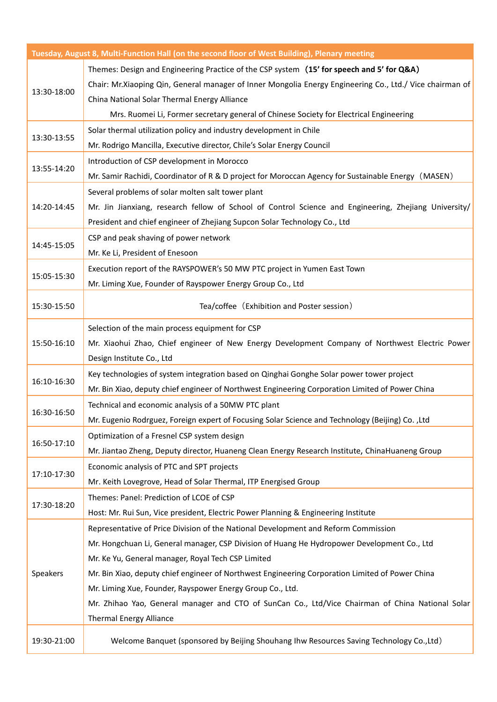|                 | Tuesday, August 8, Multi-Function Hall (on the second floor of West Building), Plenary meeting           |
|-----------------|----------------------------------------------------------------------------------------------------------|
|                 | Themes: Design and Engineering Practice of the CSP system (15' for speech and 5' for Q&A)                |
|                 | Chair: Mr.Xiaoping Qin, General manager of Inner Mongolia Energy Engineering Co., Ltd./ Vice chairman of |
| 13:30-18:00     | China National Solar Thermal Energy Alliance                                                             |
|                 | Mrs. Ruomei Li, Former secretary general of Chinese Society for Electrical Engineering                   |
|                 | Solar thermal utilization policy and industry development in Chile                                       |
| 13:30-13:55     | Mr. Rodrigo Mancilla, Executive director, Chile's Solar Energy Council                                   |
|                 | Introduction of CSP development in Morocco                                                               |
| 13:55-14:20     | Mr. Samir Rachidi, Coordinator of R & D project for Moroccan Agency for Sustainable Energy (MASEN)       |
|                 | Several problems of solar molten salt tower plant                                                        |
| 14:20-14:45     | Mr. Jin Jianxiang, research fellow of School of Control Science and Engineering, Zhejiang University/    |
|                 | President and chief engineer of Zhejiang Supcon Solar Technology Co., Ltd                                |
|                 | CSP and peak shaving of power network                                                                    |
| 14:45-15:05     | Mr. Ke Li, President of Enesoon                                                                          |
|                 | Execution report of the RAYSPOWER's 50 MW PTC project in Yumen East Town                                 |
| 15:05-15:30     | Mr. Liming Xue, Founder of Rayspower Energy Group Co., Ltd                                               |
| 15:30-15:50     | Tea/coffee (Exhibition and Poster session)                                                               |
|                 |                                                                                                          |
|                 | Selection of the main process equipment for CSP                                                          |
| 15:50-16:10     | Mr. Xiaohui Zhao, Chief engineer of New Energy Development Company of Northwest Electric Power           |
|                 | Design Institute Co., Ltd                                                                                |
| 16:10-16:30     | Key technologies of system integration based on Qinghai Gonghe Solar power tower project                 |
|                 | Mr. Bin Xiao, deputy chief engineer of Northwest Engineering Corporation Limited of Power China          |
| 16:30-16:50     | Technical and economic analysis of a 50MW PTC plant                                                      |
|                 | Mr. Eugenio Rodrguez, Foreign expert of Focusing Solar Science and Technology (Beijing) Co., Ltd         |
| 16:50-17:10     | Optimization of a Fresnel CSP system design                                                              |
|                 | Mr. Jiantao Zheng, Deputy director, Huaneng Clean Energy Research Institute, ChinaHuaneng Group          |
|                 | Economic analysis of PTC and SPT projects                                                                |
| 17:10-17:30     | Mr. Keith Lovegrove, Head of Solar Thermal, ITP Energised Group                                          |
| 17:30-18:20     | Themes: Panel: Prediction of LCOE of CSP                                                                 |
|                 | Host: Mr. Rui Sun, Vice president, Electric Power Planning & Engineering Institute                       |
| <b>Speakers</b> | Representative of Price Division of the National Development and Reform Commission                       |
|                 | Mr. Hongchuan Li, General manager, CSP Division of Huang He Hydropower Development Co., Ltd              |
|                 | Mr. Ke Yu, General manager, Royal Tech CSP Limited                                                       |
|                 | Mr. Bin Xiao, deputy chief engineer of Northwest Engineering Corporation Limited of Power China          |
|                 | Mr. Liming Xue, Founder, Rayspower Energy Group Co., Ltd.                                                |
|                 | Mr. Zhihao Yao, General manager and CTO of SunCan Co., Ltd/Vice Chairman of China National Solar         |
|                 | <b>Thermal Energy Alliance</b>                                                                           |
|                 |                                                                                                          |
| 19:30-21:00     | Welcome Banquet (sponsored by Beijing Shouhang Ihw Resources Saving Technology Co., Ltd)                 |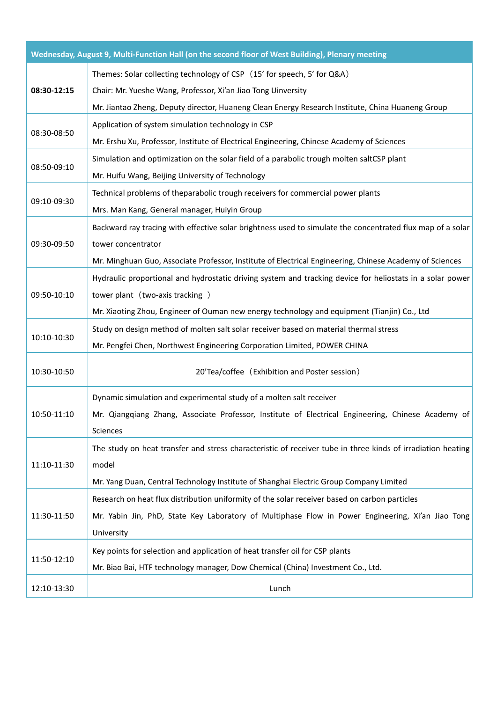|             | Wednesday, August 9, Multi-Function Hall (on the second floor of West Building), Plenary meeting            |
|-------------|-------------------------------------------------------------------------------------------------------------|
| 08:30-12:15 | Themes: Solar collecting technology of CSP (15' for speech, 5' for Q&A)                                     |
|             | Chair: Mr. Yueshe Wang, Professor, Xi'an Jiao Tong Uinversity                                               |
|             | Mr. Jiantao Zheng, Deputy director, Huaneng Clean Energy Research Institute, China Huaneng Group            |
| 08:30-08:50 | Application of system simulation technology in CSP                                                          |
|             | Mr. Ershu Xu, Professor, Institute of Electrical Engineering, Chinese Academy of Sciences                   |
|             | Simulation and optimization on the solar field of a parabolic trough molten saltCSP plant                   |
| 08:50-09:10 | Mr. Huifu Wang, Beijing University of Technology                                                            |
| 09:10-09:30 | Technical problems of theparabolic trough receivers for commercial power plants                             |
|             | Mrs. Man Kang, General manager, Huiyin Group                                                                |
|             | Backward ray tracing with effective solar brightness used to simulate the concentrated flux map of a solar  |
| 09:30-09:50 | tower concentrator                                                                                          |
|             | Mr. Minghuan Guo, Associate Professor, Institute of Electrical Engineering, Chinese Academy of Sciences     |
|             | Hydraulic proportional and hydrostatic driving system and tracking device for heliostats in a solar power   |
| 09:50-10:10 | tower plant (two-axis tracking)                                                                             |
|             | Mr. Xiaoting Zhou, Engineer of Ouman new energy technology and equipment (Tianjin) Co., Ltd                 |
| 10:10-10:30 | Study on design method of molten salt solar receiver based on material thermal stress                       |
|             | Mr. Pengfei Chen, Northwest Engineering Corporation Limited, POWER CHINA                                    |
| 10:30-10:50 | 20'Tea/coffee (Exhibition and Poster session)                                                               |
|             | Dynamic simulation and experimental study of a molten salt receiver                                         |
| 10:50-11:10 | Mr. Qiangqiang Zhang, Associate Professor, Institute of Electrical Engineering, Chinese Academy of          |
|             | Sciences                                                                                                    |
|             | The study on heat transfer and stress characteristic of receiver tube in three kinds of irradiation heating |
| 11:10-11:30 | model                                                                                                       |
|             | Mr. Yang Duan, Central Technology Institute of Shanghai Electric Group Company Limited                      |
| 11:30-11:50 | Research on heat flux distribution uniformity of the solar receiver based on carbon particles               |
|             | Mr. Yabin Jin, PhD, State Key Laboratory of Multiphase Flow in Power Engineering, Xi'an Jiao Tong           |
|             | University                                                                                                  |
| 11:50-12:10 | Key points for selection and application of heat transfer oil for CSP plants                                |
|             | Mr. Biao Bai, HTF technology manager, Dow Chemical (China) Investment Co., Ltd.                             |
| 12:10-13:30 | Lunch                                                                                                       |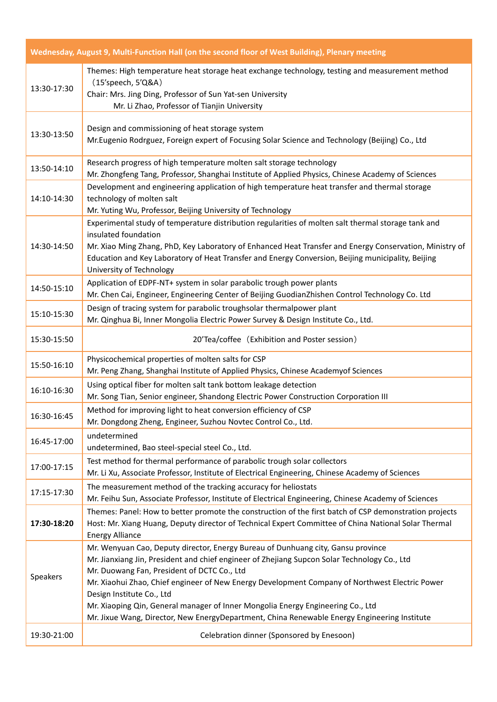|             | Wednesday, August 9, Multi-Function Hall (on the second floor of West Building), Plenary meeting                                                                                                                                                                                                                                                                                                                                                  |
|-------------|---------------------------------------------------------------------------------------------------------------------------------------------------------------------------------------------------------------------------------------------------------------------------------------------------------------------------------------------------------------------------------------------------------------------------------------------------|
| 13:30-17:30 | Themes: High temperature heat storage heat exchange technology, testing and measurement method<br>(15'speech, 5'Q&A)<br>Chair: Mrs. Jing Ding, Professor of Sun Yat-sen University<br>Mr. Li Zhao, Professor of Tianjin University                                                                                                                                                                                                                |
| 13:30-13:50 | Design and commissioning of heat storage system<br>Mr. Eugenio Rodrguez, Foreign expert of Focusing Solar Science and Technology (Beijing) Co., Ltd                                                                                                                                                                                                                                                                                               |
| 13:50-14:10 | Research progress of high temperature molten salt storage technology<br>Mr. Zhongfeng Tang, Professor, Shanghai Institute of Applied Physics, Chinese Academy of Sciences                                                                                                                                                                                                                                                                         |
| 14:10-14:30 | Development and engineering application of high temperature heat transfer and thermal storage<br>technology of molten salt<br>Mr. Yuting Wu, Professor, Beijing University of Technology                                                                                                                                                                                                                                                          |
| 14:30-14:50 | Experimental study of temperature distribution regularities of molten salt thermal storage tank and<br>insulated foundation<br>Mr. Xiao Ming Zhang, PhD, Key Laboratory of Enhanced Heat Transfer and Energy Conservation, Ministry of<br>Education and Key Laboratory of Heat Transfer and Energy Conversion, Beijing municipality, Beijing<br>University of Technology                                                                          |
| 14:50-15:10 | Application of EDPF-NT+ system in solar parabolic trough power plants<br>Mr. Chen Cai, Engineer, Engineering Center of Beijing GuodianZhishen Control Technology Co. Ltd                                                                                                                                                                                                                                                                          |
| 15:10-15:30 | Design of tracing system for parabolic troughsolar thermalpower plant<br>Mr. Qinghua Bi, Inner Mongolia Electric Power Survey & Design Institute Co., Ltd.                                                                                                                                                                                                                                                                                        |
| 15:30-15:50 | 20'Tea/coffee (Exhibition and Poster session)                                                                                                                                                                                                                                                                                                                                                                                                     |
| 15:50-16:10 | Physicochemical properties of molten salts for CSP<br>Mr. Peng Zhang, Shanghai Institute of Applied Physics, Chinese Academyof Sciences                                                                                                                                                                                                                                                                                                           |
| 16:10-16:30 | Using optical fiber for molten salt tank bottom leakage detection<br>Mr. Song Tian, Senior engineer, Shandong Electric Power Construction Corporation III                                                                                                                                                                                                                                                                                         |
| 16:30-16:45 | Method for improving light to heat conversion efficiency of CSP<br>Mr. Dongdong Zheng, Engineer, Suzhou Novtec Control Co., Ltd.                                                                                                                                                                                                                                                                                                                  |
| 16:45-17:00 | undetermined<br>undetermined, Bao steel-special steel Co., Ltd.                                                                                                                                                                                                                                                                                                                                                                                   |
| 17:00-17:15 | Test method for thermal performance of parabolic trough solar collectors<br>Mr. Li Xu, Associate Professor, Institute of Electrical Engineering, Chinese Academy of Sciences                                                                                                                                                                                                                                                                      |
| 17:15-17:30 | The measurement method of the tracking accuracy for heliostats<br>Mr. Feihu Sun, Associate Professor, Institute of Electrical Engineering, Chinese Academy of Sciences                                                                                                                                                                                                                                                                            |
| 17:30-18:20 | Themes: Panel: How to better promote the construction of the first batch of CSP demonstration projects<br>Host: Mr. Xiang Huang, Deputy director of Technical Expert Committee of China National Solar Thermal<br><b>Energy Alliance</b>                                                                                                                                                                                                          |
| Speakers    | Mr. Wenyuan Cao, Deputy director, Energy Bureau of Dunhuang city, Gansu province<br>Mr. Jianxiang Jin, President and chief engineer of Zhejiang Supcon Solar Technology Co., Ltd<br>Mr. Duowang Fan, President of DCTC Co., Ltd<br>Mr. Xiaohui Zhao, Chief engineer of New Energy Development Company of Northwest Electric Power<br>Design Institute Co., Ltd<br>Mr. Xiaoping Qin, General manager of Inner Mongolia Energy Engineering Co., Ltd |
| 19:30-21:00 | Mr. Jixue Wang, Director, New EnergyDepartment, China Renewable Energy Engineering Institute<br>Celebration dinner (Sponsored by Enesoon)                                                                                                                                                                                                                                                                                                         |